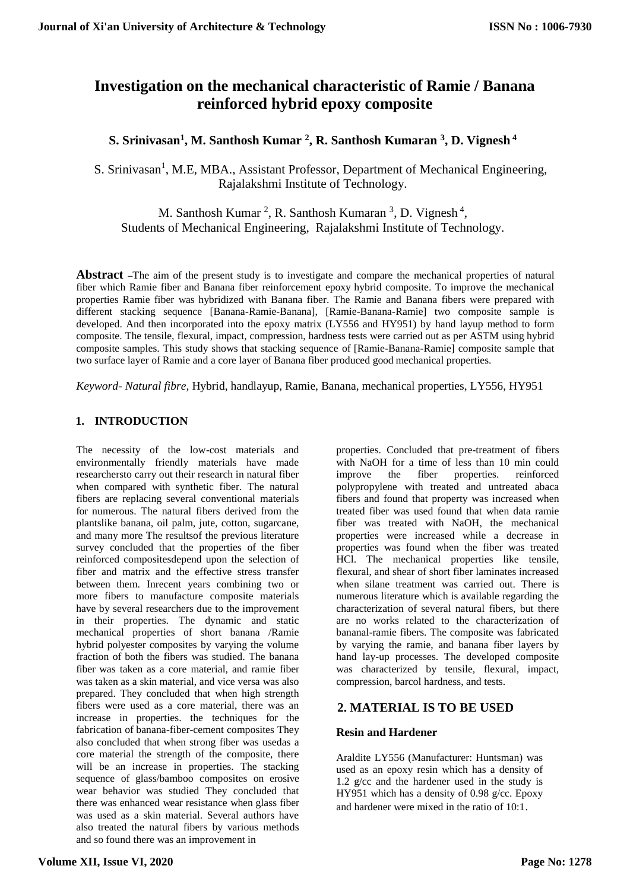# **Investigation on the mechanical characteristic of Ramie / Banana reinforced hybrid epoxy composite**

# **S. Srinivasan<sup>1</sup> , M. Santhosh Kumar <sup>2</sup> , R. Santhosh Kumaran <sup>3</sup> , D. Vignesh <sup>4</sup>**

S. Srinivasan<sup>1</sup>, M.E, MBA., Assistant Professor, Department of Mechanical Engineering, Rajalakshmi Institute of Technology.

M. Santhosh Kumar<sup>2</sup>, R. Santhosh Kumaran<sup>3</sup>, D. Vignesh<sup>4</sup>, Students of Mechanical Engineering, Rajalakshmi Institute of Technology.

**Abstract –**The aim of the present study is to investigate and compare the mechanical properties of natural fiber which Ramie fiber and Banana fiber reinforcement epoxy hybrid composite. To improve the mechanical properties Ramie fiber was hybridized with Banana fiber. The Ramie and Banana fibers were prepared with different stacking sequence [Banana-Ramie-Banana], [Ramie-Banana-Ramie] two composite sample is developed. And then incorporated into the epoxy matrix (LY556 and HY951) by hand layup method to form composite. The tensile, flexural, impact, compression, hardness tests were carried out as per ASTM using hybrid composite samples. This study shows that stacking sequence of [Ramie-Banana-Ramie] composite sample that two surface layer of Ramie and a core layer of Banana fiber produced good mechanical properties.

*Keyword- Natural fibre,* Hybrid, handlayup, Ramie, Banana, mechanical properties, LY556, HY951

# **1. INTRODUCTION**

The necessity of the low-cost materials and environmentally friendly materials have made researchersto carry out their research in natural fiber when compared with synthetic fiber. The natural fibers are replacing several conventional materials for numerous. The natural fibers derived from the plantslike banana, oil palm, jute, cotton, sugarcane, and many more The resultsof the previous literature survey concluded that the properties of the fiber reinforced compositesdepend upon the selection of fiber and matrix and the effective stress transfer between them. Inrecent years combining two or more fibers to manufacture composite materials have by several researchers due to the improvement in their properties. The dynamic and static mechanical properties of short banana /Ramie hybrid polyester composites by varying the volume fraction of both the fibers was studied. The banana fiber was taken as a core material, and ramie fiber was taken as a skin material, and vice versa was also prepared. They concluded that when high strength fibers were used as a core material, there was an increase in properties. the techniques for the fabrication of banana-fiber-cement composites They also concluded that when strong fiber was usedas a core material the strength of the composite, there will be an increase in properties. The stacking sequence of glass/bamboo composites on erosive wear behavior was studied They concluded that there was enhanced wear resistance when glass fiber was used as a skin material. Several authors have also treated the natural fibers by various methods and so found there was an improvement in

properties. Concluded that pre-treatment of fibers with NaOH for a time of less than 10 min could improve the fiber properties. reinforced polypropylene with treated and untreated abaca fibers and found that property was increased when treated fiber was used found that when data ramie fiber was treated with NaOH, the mechanical properties were increased while a decrease in properties was found when the fiber was treated HCl. The mechanical properties like tensile, flexural, and shear of short fiber laminates increased when silane treatment was carried out. There is numerous literature which is available regarding the characterization of several natural fibers, but there are no works related to the characterization of bananal-ramie fibers. The composite was fabricated by varying the ramie, and banana fiber layers by hand lay-up processes. The developed composite was characterized by tensile, flexural, impact, compression, barcol hardness, and tests.

# **2. MATERIAL IS TO BE USED**

# **Resin and Hardener**

Araldite LY556 (Manufacturer: Huntsman) was used as an epoxy resin which has a density of 1.2 g/cc and the hardener used in the study is HY951 which has a density of 0.98 g/cc. Epoxy and hardener were mixed in the ratio of 10:1.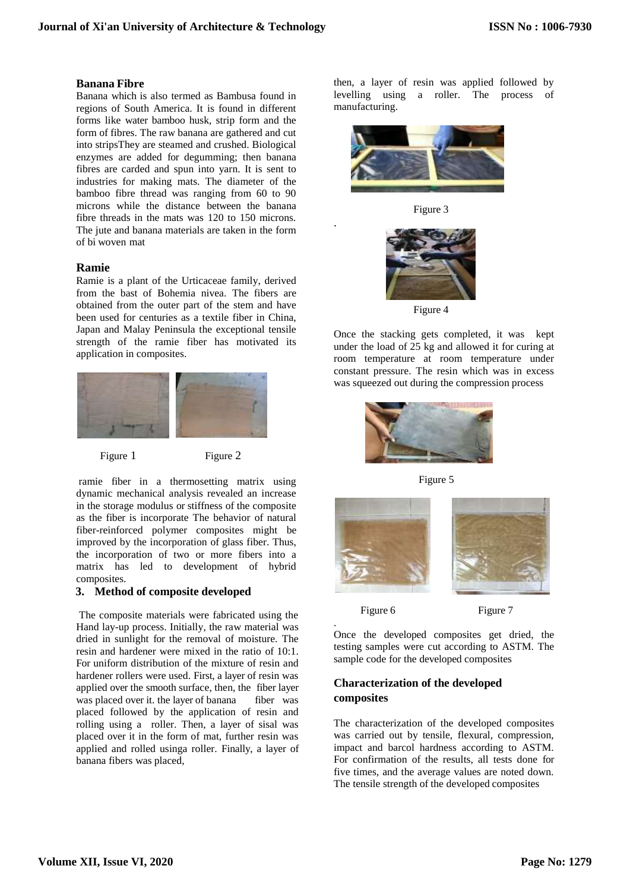### **Banana Fibre**

Banana which is also termed as Bambusa found in regions of South America. It is found in different forms like water bamboo husk, strip form and the form of fibres. The raw banana are gathered and cut into stripsThey are steamed and crushed. Biological enzymes are added for degumming; then banana fibres are carded and spun into yarn. It is sent to industries for making mats. The diameter of the bamboo fibre thread was ranging from 60 to 90 microns while the distance between the banana fibre threads in the mats was 120 to 150 microns. The jute and banana materials are taken in the form of bi woven mat

# **Ramie**

Ramie is a plant of the Urticaceae family, derived from the bast of Bohemia nivea. The fibers are obtained from the outer part of the stem and have been used for centuries as a textile fiber in China, Japan and Malay Peninsula the exceptional tensile strength of the ramie fiber has motivated its application in composites.



Figure 1 Figure 2

ramie fiber in a thermosetting matrix using dynamic mechanical analysis revealed an increase in the storage modulus or stiffness of the composite as the fiber is incorporate The behavior of natural fiber-reinforced polymer composites might be improved by the incorporation of glass fiber. Thus, the incorporation of two or more fibers into a matrix has led to development of hybrid composites.

# **3. Method of composite developed**

The composite materials were fabricated using the Hand lay-up process. Initially, the raw material was dried in sunlight for the removal of moisture. The resin and hardener were mixed in the ratio of 10:1. For uniform distribution of the mixture of resin and hardener rollers were used. First, a layer of resin was applied over the smooth surface, then, the fiber layer was placed over it. the layer of banana fiber was placed followed by the application of resin and rolling using a roller. Then, a layer of sisal was placed over it in the form of mat, further resin was applied and rolled usinga roller. Finally, a layer of banana fibers was placed,

then, a layer of resin was applied followed by levelling using a roller. The process of manufacturing.



Figure 3

.



Figure 4

Once the stacking gets completed, it was kept under the load of 25 kg and allowed it for curing at room temperature at room temperature under constant pressure. The resin which was in excess was squeezed out during the compression process



Figure 5



.

Figure 6 Figure 7

Once the developed composites get dried, the testing samples were cut according to ASTM. The sample code for the developed composites

# **Characterization of the developed composites**

The characterization of the developed composites was carried out by tensile, flexural, compression, impact and barcol hardness according to ASTM. For confirmation of the results, all tests done for five times, and the average values are noted down. The tensile strength of the developed composites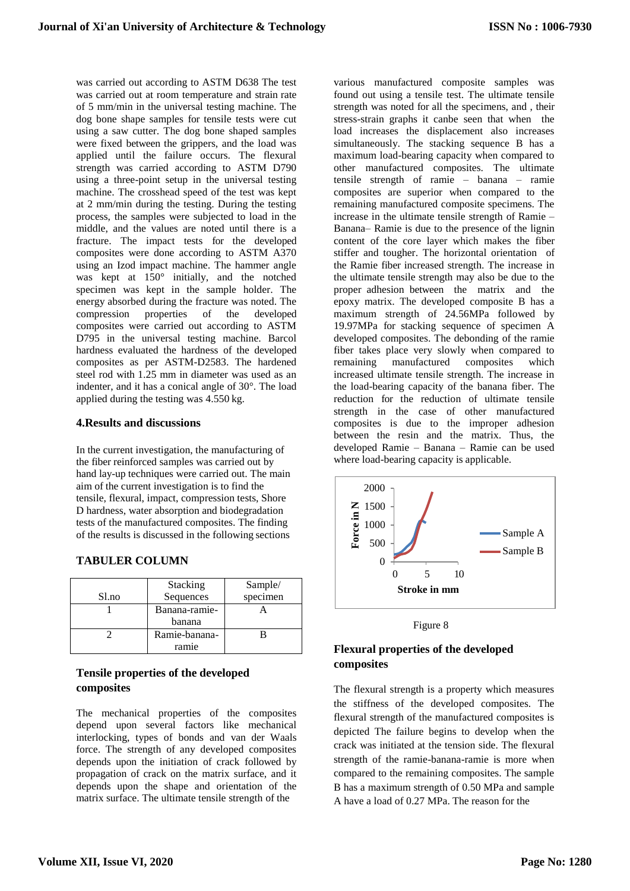was carried out according to ASTM D638 The test was carried out at room temperature and strain rate of 5 mm/min in the universal testing machine. The dog bone shape samples for tensile tests were cut using a saw cutter. The dog bone shaped samples were fixed between the grippers, and the load was applied until the failure occurs. The flexural strength was carried according to ASTM D790 using a three-point setup in the universal testing machine. The crosshead speed of the test was kept at 2 mm/min during the testing. During the testing process, the samples were subjected to load in the middle, and the values are noted until there is a fracture. The impact tests for the developed composites were done according to ASTM A370 using an Izod impact machine. The hammer angle was kept at 150° initially, and the notched specimen was kept in the sample holder. The energy absorbed during the fracture was noted. The compression properties of the developed composites were carried out according to ASTM D795 in the universal testing machine. Barcol hardness evaluated the hardness of the developed composites as per ASTM-D2583. The hardened steel rod with 1.25 mm in diameter was used as an indenter, and it has a conical angle of 30°. The load applied during the testing was 4.550 kg.

#### **4.Results and discussions**

In the current investigation, the manufacturing of the fiber reinforced samples was carried out by hand lay-up techniques were carried out. The main aim of the current investigation is to find the tensile, flexural, impact, compression tests, Shore D hardness, water absorption and biodegradation tests of the manufactured composites. The finding of the results is discussed in the following sections

| Sl.no | Stacking<br>Sequences   | Sample/<br>specimen |
|-------|-------------------------|---------------------|
|       | Banana-ramie-<br>banana |                     |
|       | Ramie-banana-<br>ramie  |                     |

#### **TABULER COLUMN**

# **Tensile properties of the developed composites**

The mechanical properties of the composites depend upon several factors like mechanical interlocking, types of bonds and van der Waals force. The strength of any developed composites depends upon the initiation of crack followed by propagation of crack on the matrix surface, and it depends upon the shape and orientation of the matrix surface. The ultimate tensile strength of the

various manufactured composite samples was found out using a tensile test. The ultimate tensile strength was noted for all the specimens, and , their stress-strain graphs it canbe seen that when the load increases the displacement also increases simultaneously. The stacking sequence B has a maximum load-bearing capacity when compared to other manufactured composites. The ultimate tensile strength of ramie – banana – ramie composites are superior when compared to the remaining manufactured composite specimens. The increase in the ultimate tensile strength of Ramie – Banana– Ramie is due to the presence of the lignin content of the core layer which makes the fiber stiffer and tougher. The horizontal orientation of the Ramie fiber increased strength. The increase in the ultimate tensile strength may also be due to the proper adhesion between the matrix and the epoxy matrix. The developed composite B has a maximum strength of 24.56MPa followed by 19.97MPa for stacking sequence of specimen A developed composites. The debonding of the ramie fiber takes place very slowly when compared to remaining manufactured composites which increased ultimate tensile strength. The increase in the load-bearing capacity of the banana fiber. The reduction for the reduction of ultimate tensile strength in the case of other manufactured composites is due to the improper adhesion between the resin and the matrix. Thus, the developed Ramie – Banana – Ramie can be used where load-bearing capacity is applicable.



Figure 8

# **Flexural properties of the developed composites**

The flexural strength is a property which measures the stiffness of the developed composites. The flexural strength of the manufactured composites is depicted The failure begins to develop when the crack was initiated at the tension side. The flexural strength of the ramie-banana-ramie is more when compared to the remaining composites. The sample B has a maximum strength of 0.50 MPa and sample A have a load of 0.27 MPa. The reason for the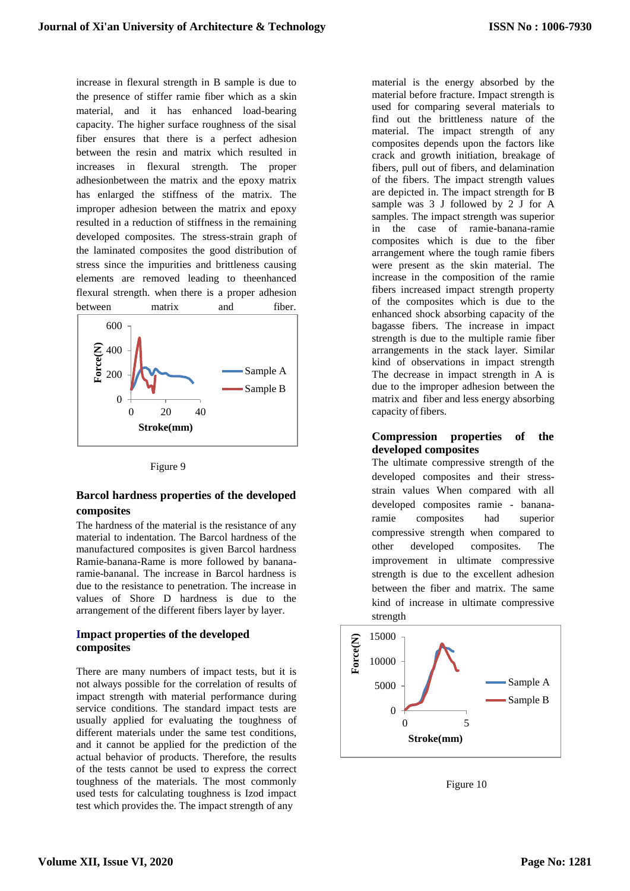increase in flexural strength in B sample is due to the presence of stiffer ramie fiber which as a skin material, and it has enhanced load-bearing capacity. The higher surface roughness of the sisal fiber ensures that there is a perfect adhesion between the resin and matrix which resulted in increases in flexural strength. The proper adhesionbetween the matrix and the epoxy matrix has enlarged the stiffness of the matrix. The improper adhesion between the matrix and epoxy resulted in a reduction of stiffness in the remaining developed composites. The stress-strain graph of the laminated composites the good distribution of stress since the impurities and brittleness causing elements are removed leading to theenhanced flexural strength. when there is a proper adhesion between matrix and fiber.



Figure 9

# **Barcol hardness properties of the developed composites**

The hardness of the material is the resistance of any material to indentation. The Barcol hardness of the manufactured composites is given Barcol hardness Ramie-banana-Rame is more followed by bananaramie-bananal. The increase in Barcol hardness is due to the resistance to penetration. The increase in values of Shore D hardness is due to the arrangement of the different fibers layer by layer.

# **Impact properties of the developed composites**

There are many numbers of impact tests, but it is not always possible for the correlation of results of impact strength with material performance during service conditions. The standard impact tests are usually applied for evaluating the toughness of different materials under the same test conditions, and it cannot be applied for the prediction of the actual behavior of products. Therefore, the results of the tests cannot be used to express the correct toughness of the materials. The most commonly used tests for calculating toughness is Izod impact test which provides the. The impact strength of any

material is the energy absorbed by the material before fracture. Impact strength is used for comparing several materials to find out the brittleness nature of the material. The impact strength of any composites depends upon the factors like crack and growth initiation, breakage of fibers, pull out of fibers, and delamination of the fibers. The impact strength values are depicted in. The impact strength for B sample was 3 J followed by 2 J for A samples. The impact strength was superior in the case of ramie-banana-ramie composites which is due to the fiber arrangement where the tough ramie fibers were present as the skin material. The increase in the composition of the ramie fibers increased impact strength property of the composites which is due to the enhanced shock absorbing capacity of the bagasse fibers. The increase in impact strength is due to the multiple ramie fiber arrangements in the stack layer. Similar kind of observations in impact strength The decrease in impact strength in A is due to the improper adhesion between the matrix and fiber and less energy absorbing capacity of fibers.

### **Compression properties of the developed composites**

The ultimate compressive strength of the developed composites and their stressstrain values When compared with all developed composites ramie - bananaramie composites had superior compressive strength when compared to other developed composites. The improvement in ultimate compressive strength is due to the excellent adhesion between the fiber and matrix. The same kind of increase in ultimate compressive strength



Figure 10